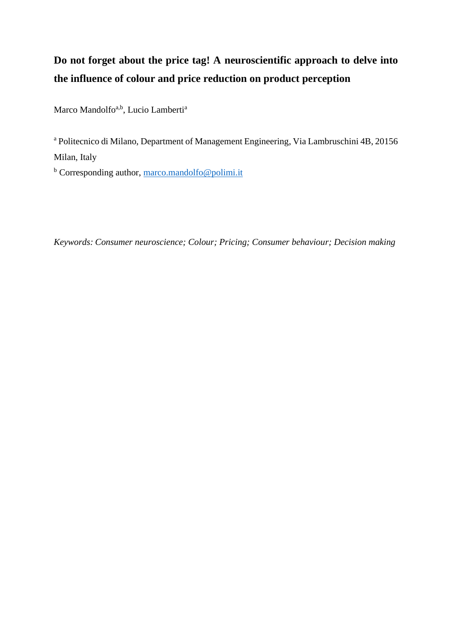# **Do not forget about the price tag! A neuroscientific approach to delve into the influence of colour and price reduction on product perception**

Marco Mandolfo<sup>a,b</sup>, Lucio Lamberti<sup>a</sup>

<sup>a</sup> Politecnico di Milano, Department of Management Engineering, Via Lambruschini 4B, 20156 Milan, Italy

 $b$  Corresponding author, [marco.mandolfo@polimi.it](mailto:marco.mandolfo@polimi.it)

*Keywords: Consumer neuroscience; Colour; Pricing; Consumer behaviour; Decision making*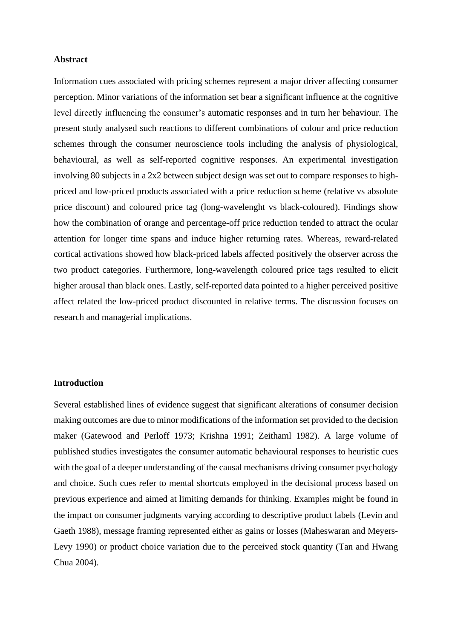#### **Abstract**

Information cues associated with pricing schemes represent a major driver affecting consumer perception. Minor variations of the information set bear a significant influence at the cognitive level directly influencing the consumer's automatic responses and in turn her behaviour. The present study analysed such reactions to different combinations of colour and price reduction schemes through the consumer neuroscience tools including the analysis of physiological, behavioural, as well as self-reported cognitive responses. An experimental investigation involving 80 subjects in a 2x2 between subject design was set out to compare responses to highpriced and low-priced products associated with a price reduction scheme (relative vs absolute price discount) and coloured price tag (long-wavelenght vs black-coloured). Findings show how the combination of orange and percentage-off price reduction tended to attract the ocular attention for longer time spans and induce higher returning rates. Whereas, reward-related cortical activations showed how black-priced labels affected positively the observer across the two product categories. Furthermore, long-wavelength coloured price tags resulted to elicit higher arousal than black ones. Lastly, self-reported data pointed to a higher perceived positive affect related the low-priced product discounted in relative terms. The discussion focuses on research and managerial implications.

# **Introduction**

Several established lines of evidence suggest that significant alterations of consumer decision making outcomes are due to minor modifications of the information set provided to the decision maker (Gatewood and Perloff 1973; Krishna 1991; Zeithaml 1982). A large volume of published studies investigates the consumer automatic behavioural responses to heuristic cues with the goal of a deeper understanding of the causal mechanisms driving consumer psychology and choice. Such cues refer to mental shortcuts employed in the decisional process based on previous experience and aimed at limiting demands for thinking. Examples might be found in the impact on consumer judgments varying according to descriptive product labels (Levin and Gaeth 1988), message framing represented either as gains or losses (Maheswaran and Meyers-Levy 1990) or product choice variation due to the perceived stock quantity (Tan and Hwang Chua 2004).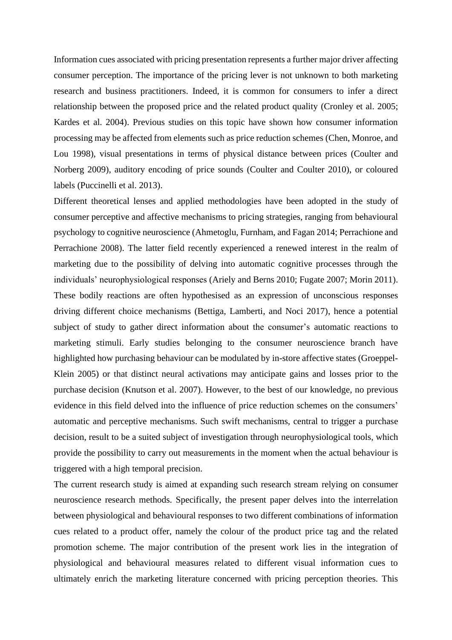Information cues associated with pricing presentation represents a further major driver affecting consumer perception. The importance of the pricing lever is not unknown to both marketing research and business practitioners. Indeed, it is common for consumers to infer a direct relationship between the proposed price and the related product quality (Cronley et al. 2005; Kardes et al. 2004). Previous studies on this topic have shown how consumer information processing may be affected from elements such as price reduction schemes (Chen, Monroe, and Lou 1998), visual presentations in terms of physical distance between prices (Coulter and Norberg 2009), auditory encoding of price sounds (Coulter and Coulter 2010), or coloured labels (Puccinelli et al. 2013).

Different theoretical lenses and applied methodologies have been adopted in the study of consumer perceptive and affective mechanisms to pricing strategies, ranging from behavioural psychology to cognitive neuroscience (Ahmetoglu, Furnham, and Fagan 2014; Perrachione and Perrachione 2008). The latter field recently experienced a renewed interest in the realm of marketing due to the possibility of delving into automatic cognitive processes through the individuals' neurophysiological responses (Ariely and Berns 2010; Fugate 2007; Morin 2011). These bodily reactions are often hypothesised as an expression of unconscious responses driving different choice mechanisms (Bettiga, Lamberti, and Noci 2017), hence a potential subject of study to gather direct information about the consumer's automatic reactions to marketing stimuli. Early studies belonging to the consumer neuroscience branch have highlighted how purchasing behaviour can be modulated by in-store affective states (Groeppel-Klein 2005) or that distinct neural activations may anticipate gains and losses prior to the purchase decision (Knutson et al. 2007). However, to the best of our knowledge, no previous evidence in this field delved into the influence of price reduction schemes on the consumers' automatic and perceptive mechanisms. Such swift mechanisms, central to trigger a purchase decision, result to be a suited subject of investigation through neurophysiological tools, which provide the possibility to carry out measurements in the moment when the actual behaviour is triggered with a high temporal precision.

The current research study is aimed at expanding such research stream relying on consumer neuroscience research methods. Specifically, the present paper delves into the interrelation between physiological and behavioural responses to two different combinations of information cues related to a product offer, namely the colour of the product price tag and the related promotion scheme. The major contribution of the present work lies in the integration of physiological and behavioural measures related to different visual information cues to ultimately enrich the marketing literature concerned with pricing perception theories. This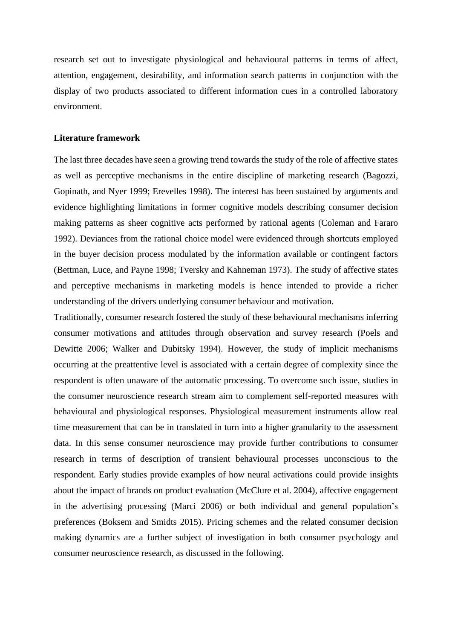research set out to investigate physiological and behavioural patterns in terms of affect, attention, engagement, desirability, and information search patterns in conjunction with the display of two products associated to different information cues in a controlled laboratory environment.

# **Literature framework**

The last three decades have seen a growing trend towards the study of the role of affective states as well as perceptive mechanisms in the entire discipline of marketing research (Bagozzi, Gopinath, and Nyer 1999; Erevelles 1998). The interest has been sustained by arguments and evidence highlighting limitations in former cognitive models describing consumer decision making patterns as sheer cognitive acts performed by rational agents (Coleman and Fararo 1992). Deviances from the rational choice model were evidenced through shortcuts employed in the buyer decision process modulated by the information available or contingent factors (Bettman, Luce, and Payne 1998; Tversky and Kahneman 1973). The study of affective states and perceptive mechanisms in marketing models is hence intended to provide a richer understanding of the drivers underlying consumer behaviour and motivation.

Traditionally, consumer research fostered the study of these behavioural mechanisms inferring consumer motivations and attitudes through observation and survey research (Poels and Dewitte 2006; Walker and Dubitsky 1994). However, the study of implicit mechanisms occurring at the preattentive level is associated with a certain degree of complexity since the respondent is often unaware of the automatic processing. To overcome such issue, studies in the consumer neuroscience research stream aim to complement self-reported measures with behavioural and physiological responses. Physiological measurement instruments allow real time measurement that can be in translated in turn into a higher granularity to the assessment data. In this sense consumer neuroscience may provide further contributions to consumer research in terms of description of transient behavioural processes unconscious to the respondent. Early studies provide examples of how neural activations could provide insights about the impact of brands on product evaluation (McClure et al. 2004), affective engagement in the advertising processing (Marci 2006) or both individual and general population's preferences (Boksem and Smidts 2015). Pricing schemes and the related consumer decision making dynamics are a further subject of investigation in both consumer psychology and consumer neuroscience research, as discussed in the following.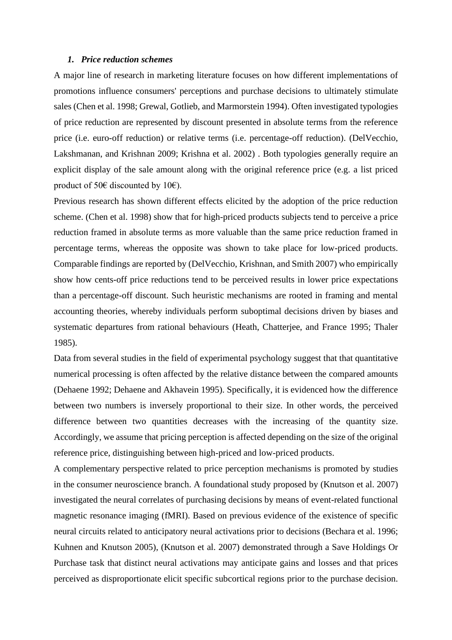#### *1. Price reduction schemes*

A major line of research in marketing literature focuses on how different implementations of promotions influence consumers' perceptions and purchase decisions to ultimately stimulate sales (Chen et al. 1998; Grewal, Gotlieb, and Marmorstein 1994). Often investigated typologies of price reduction are represented by discount presented in absolute terms from the reference price (i.e. euro-off reduction) or relative terms (i.e. percentage-off reduction). (DelVecchio, Lakshmanan, and Krishnan 2009; Krishna et al. 2002) . Both typologies generally require an explicit display of the sale amount along with the original reference price (e.g. a list priced product of 50€ discounted by 10€).

Previous research has shown different effects elicited by the adoption of the price reduction scheme. (Chen et al. 1998) show that for high-priced products subjects tend to perceive a price reduction framed in absolute terms as more valuable than the same price reduction framed in percentage terms, whereas the opposite was shown to take place for low-priced products. Comparable findings are reported by (DelVecchio, Krishnan, and Smith 2007) who empirically show how cents-off price reductions tend to be perceived results in lower price expectations than a percentage-off discount. Such heuristic mechanisms are rooted in framing and mental accounting theories, whereby individuals perform suboptimal decisions driven by biases and systematic departures from rational behaviours (Heath, Chatterjee, and France 1995; Thaler 1985).

Data from several studies in the field of experimental psychology suggest that that quantitative numerical processing is often affected by the relative distance between the compared amounts (Dehaene 1992; Dehaene and Akhavein 1995). Specifically, it is evidenced how the difference between two numbers is inversely proportional to their size. In other words, the perceived difference between two quantities decreases with the increasing of the quantity size. Accordingly, we assume that pricing perception is affected depending on the size of the original reference price, distinguishing between high-priced and low-priced products.

A complementary perspective related to price perception mechanisms is promoted by studies in the consumer neuroscience branch. A foundational study proposed by (Knutson et al. 2007) investigated the neural correlates of purchasing decisions by means of event-related functional magnetic resonance imaging (fMRI). Based on previous evidence of the existence of specific neural circuits related to anticipatory neural activations prior to decisions (Bechara et al. 1996; Kuhnen and Knutson 2005), (Knutson et al. 2007) demonstrated through a Save Holdings Or Purchase task that distinct neural activations may anticipate gains and losses and that prices perceived as disproportionate elicit specific subcortical regions prior to the purchase decision.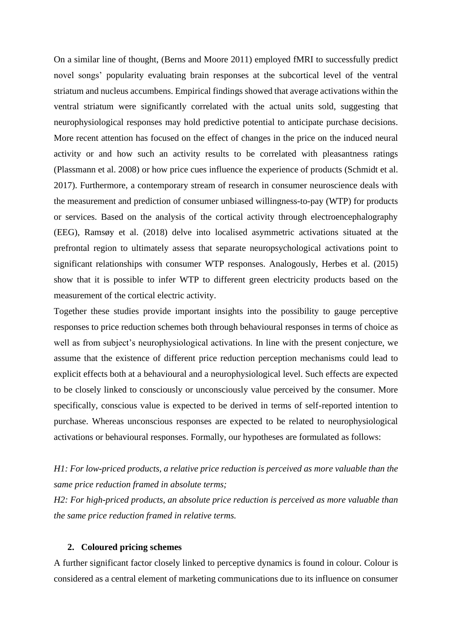On a similar line of thought, (Berns and Moore 2011) employed fMRI to successfully predict novel songs' popularity evaluating brain responses at the subcortical level of the ventral striatum and nucleus accumbens. Empirical findings showed that average activations within the ventral striatum were significantly correlated with the actual units sold, suggesting that neurophysiological responses may hold predictive potential to anticipate purchase decisions. More recent attention has focused on the effect of changes in the price on the induced neural activity or and how such an activity results to be correlated with pleasantness ratings (Plassmann et al. 2008) or how price cues influence the experience of products (Schmidt et al. 2017). Furthermore, a contemporary stream of research in consumer neuroscience deals with the measurement and prediction of consumer unbiased willingness-to-pay (WTP) for products or services. Based on the analysis of the cortical activity through electroencephalography (EEG), Ramsøy et al. (2018) delve into localised asymmetric activations situated at the prefrontal region to ultimately assess that separate neuropsychological activations point to significant relationships with consumer WTP responses. Analogously, Herbes et al. (2015) show that it is possible to infer WTP to different green electricity products based on the measurement of the cortical electric activity.

Together these studies provide important insights into the possibility to gauge perceptive responses to price reduction schemes both through behavioural responses in terms of choice as well as from subject's neurophysiological activations. In line with the present conjecture, we assume that the existence of different price reduction perception mechanisms could lead to explicit effects both at a behavioural and a neurophysiological level. Such effects are expected to be closely linked to consciously or unconsciously value perceived by the consumer. More specifically, conscious value is expected to be derived in terms of self-reported intention to purchase. Whereas unconscious responses are expected to be related to neurophysiological activations or behavioural responses. Formally, our hypotheses are formulated as follows:

*H1: For low-priced products, a relative price reduction is perceived as more valuable than the same price reduction framed in absolute terms;*

*H2: For high-priced products, an absolute price reduction is perceived as more valuable than the same price reduction framed in relative terms.*

#### **2. Coloured pricing schemes**

A further significant factor closely linked to perceptive dynamics is found in colour. Colour is considered as a central element of marketing communications due to its influence on consumer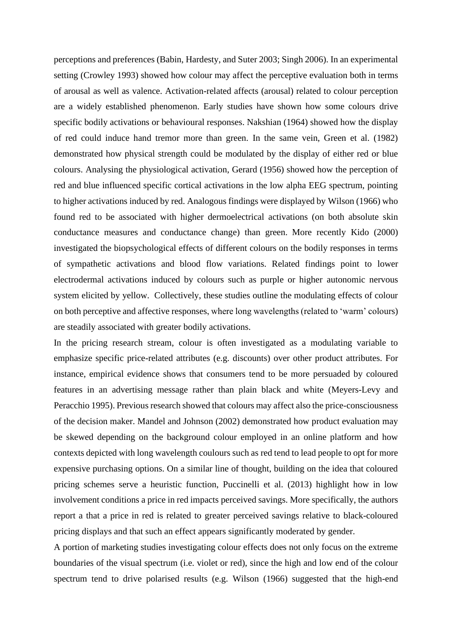perceptions and preferences (Babin, Hardesty, and Suter 2003; Singh 2006). In an experimental setting (Crowley 1993) showed how colour may affect the perceptive evaluation both in terms of arousal as well as valence. Activation-related affects (arousal) related to colour perception are a widely established phenomenon. Early studies have shown how some colours drive specific bodily activations or behavioural responses. Nakshian (1964) showed how the display of red could induce hand tremor more than green. In the same vein, Green et al. (1982) demonstrated how physical strength could be modulated by the display of either red or blue colours. Analysing the physiological activation, Gerard (1956) showed how the perception of red and blue influenced specific cortical activations in the low alpha EEG spectrum, pointing to higher activations induced by red. Analogous findings were displayed by Wilson (1966) who found red to be associated with higher dermoelectrical activations (on both absolute skin conductance measures and conductance change) than green. More recently Kido (2000) investigated the biopsychological effects of different colours on the bodily responses in terms of sympathetic activations and blood flow variations. Related findings point to lower electrodermal activations induced by colours such as purple or higher autonomic nervous system elicited by yellow. Collectively, these studies outline the modulating effects of colour on both perceptive and affective responses, where long wavelengths (related to 'warm' colours) are steadily associated with greater bodily activations.

In the pricing research stream, colour is often investigated as a modulating variable to emphasize specific price-related attributes (e.g. discounts) over other product attributes. For instance, empirical evidence shows that consumers tend to be more persuaded by coloured features in an advertising message rather than plain black and white (Meyers-Levy and Peracchio 1995). Previous research showed that colours may affect also the price-consciousness of the decision maker. Mandel and Johnson (2002) demonstrated how product evaluation may be skewed depending on the background colour employed in an online platform and how contexts depicted with long wavelength coulours such as red tend to lead people to opt for more expensive purchasing options. On a similar line of thought, building on the idea that coloured pricing schemes serve a heuristic function, Puccinelli et al. (2013) highlight how in low involvement conditions a price in red impacts perceived savings. More specifically, the authors report a that a price in red is related to greater perceived savings relative to black-coloured pricing displays and that such an effect appears significantly moderated by gender.

A portion of marketing studies investigating colour effects does not only focus on the extreme boundaries of the visual spectrum (i.e. violet or red), since the high and low end of the colour spectrum tend to drive polarised results (e.g. Wilson (1966) suggested that the high-end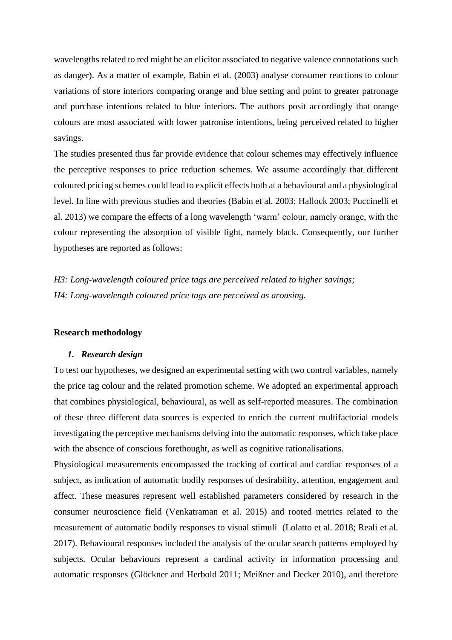wavelengths related to red might be an elicitor associated to negative valence connotations such as danger). As a matter of example, Babin et al. (2003) analyse consumer reactions to colour variations of store interiors comparing orange and blue setting and point to greater patronage and purchase intentions related to blue interiors. The authors posit accordingly that orange colours are most associated with lower patronise intentions, being perceived related to higher savings.

The studies presented thus far provide evidence that colour schemes may effectively influence the perceptive responses to price reduction schemes. We assume accordingly that different coloured pricing schemes could lead to explicit effects both at a behavioural and a physiological level. In line with previous studies and theories (Babin et al. 2003; Hallock 2003; Puccinelli et al. 2013) we compare the effects of a long wavelength 'warm' colour, namely orange, with the colour representing the absorption of visible light, namely black. Consequently, our further hypotheses are reported as follows:

*H3: Long-wavelength coloured price tags are perceived related to higher savings; H4: Long-wavelength coloured price tags are perceived as arousing.*

#### **Research methodology**

#### *1. Research design*

To test our hypotheses, we designed an experimental setting with two control variables, namely the price tag colour and the related promotion scheme. We adopted an experimental approach that combines physiological, behavioural, as well as self-reported measures. The combination of these three different data sources is expected to enrich the current multifactorial models investigating the perceptive mechanisms delving into the automatic responses, which take place with the absence of conscious forethought, as well as cognitive rationalisations.

Physiological measurements encompassed the tracking of cortical and cardiac responses of a subject, as indication of automatic bodily responses of desirability, attention, engagement and affect. These measures represent well established parameters considered by research in the consumer neuroscience field (Venkatraman et al. 2015) and rooted metrics related to the measurement of automatic bodily responses to visual stimuli (Lolatto et al. 2018; Reali et al. 2017). Behavioural responses included the analysis of the ocular search patterns employed by subjects. Ocular behaviours represent a cardinal activity in information processing and automatic responses (Glöckner and Herbold 2011; Meißner and Decker 2010), and therefore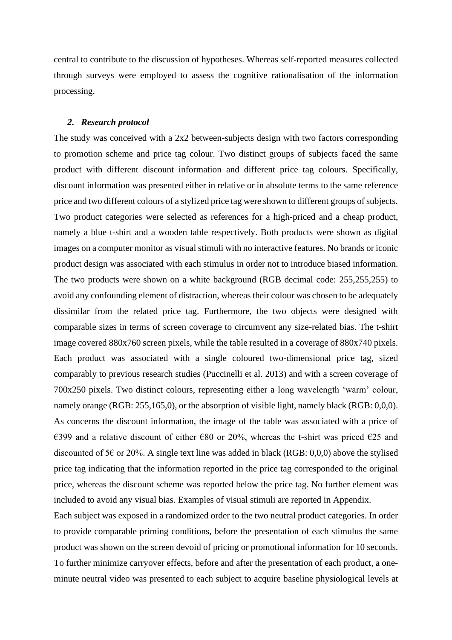central to contribute to the discussion of hypotheses. Whereas self-reported measures collected through surveys were employed to assess the cognitive rationalisation of the information processing.

#### *2. Research protocol*

The study was conceived with a 2x2 between-subjects design with two factors corresponding to promotion scheme and price tag colour. Two distinct groups of subjects faced the same product with different discount information and different price tag colours. Specifically, discount information was presented either in relative or in absolute terms to the same reference price and two different colours of a stylized price tag were shown to different groups of subjects. Two product categories were selected as references for a high-priced and a cheap product, namely a blue t-shirt and a wooden table respectively. Both products were shown as digital images on a computer monitor as visual stimuli with no interactive features. No brands or iconic product design was associated with each stimulus in order not to introduce biased information. The two products were shown on a white background (RGB decimal code: 255,255,255) to avoid any confounding element of distraction, whereas their colour was chosen to be adequately dissimilar from the related price tag. Furthermore, the two objects were designed with comparable sizes in terms of screen coverage to circumvent any size-related bias. The t-shirt image covered 880x760 screen pixels, while the table resulted in a coverage of 880x740 pixels. Each product was associated with a single coloured two-dimensional price tag, sized comparably to previous research studies (Puccinelli et al. 2013) and with a screen coverage of 700x250 pixels. Two distinct colours, representing either a long wavelength 'warm' colour, namely orange (RGB: 255,165,0), or the absorption of visible light, namely black (RGB: 0,0,0). As concerns the discount information, the image of the table was associated with a price of €399 and a relative discount of either €80 or 20%, whereas the t-shirt was priced €25 and discounted of 5 $\epsilon$  or 20%. A single text line was added in black (RGB: 0,0,0) above the stylised price tag indicating that the information reported in the price tag corresponded to the original price, whereas the discount scheme was reported below the price tag. No further element was included to avoid any visual bias. Examples of visual stimuli are reported in Appendix.

Each subject was exposed in a randomized order to the two neutral product categories. In order to provide comparable priming conditions, before the presentation of each stimulus the same product was shown on the screen devoid of pricing or promotional information for 10 seconds. To further minimize carryover effects, before and after the presentation of each product, a oneminute neutral video was presented to each subject to acquire baseline physiological levels at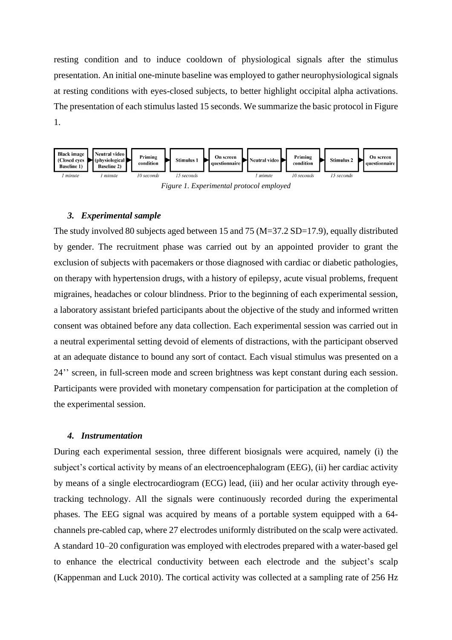resting condition and to induce cooldown of physiological signals after the stimulus presentation. An initial one-minute baseline was employed to gather neurophysiological signals at resting conditions with eyes-closed subjects, to better highlight occipital alpha activations. The presentation of each stimulus lasted 15 seconds. We summarize the basic protocol in Figure 1.



*Figure 1. Experimental protocol employed*

#### *3. Experimental sample*

The study involved 80 subjects aged between 15 and 75 (M=37.2 SD=17.9), equally distributed by gender. The recruitment phase was carried out by an appointed provider to grant the exclusion of subjects with pacemakers or those diagnosed with cardiac or diabetic pathologies, on therapy with hypertension drugs, with a history of epilepsy, acute visual problems, frequent migraines, headaches or colour blindness. Prior to the beginning of each experimental session, a laboratory assistant briefed participants about the objective of the study and informed written consent was obtained before any data collection. Each experimental session was carried out in a neutral experimental setting devoid of elements of distractions, with the participant observed at an adequate distance to bound any sort of contact. Each visual stimulus was presented on a 24'' screen, in full-screen mode and screen brightness was kept constant during each session. Participants were provided with monetary compensation for participation at the completion of the experimental session.

#### *4. Instrumentation*

During each experimental session, three different biosignals were acquired, namely (i) the subject's cortical activity by means of an electroencephalogram (EEG), (ii) her cardiac activity by means of a single electrocardiogram (ECG) lead, (iii) and her ocular activity through eyetracking technology. All the signals were continuously recorded during the experimental phases. The EEG signal was acquired by means of a portable system equipped with a 64 channels pre-cabled cap, where 27 electrodes uniformly distributed on the scalp were activated. A standard 10–20 configuration was employed with electrodes prepared with a water-based gel to enhance the electrical conductivity between each electrode and the subject's scalp (Kappenman and Luck 2010). The cortical activity was collected at a sampling rate of 256 Hz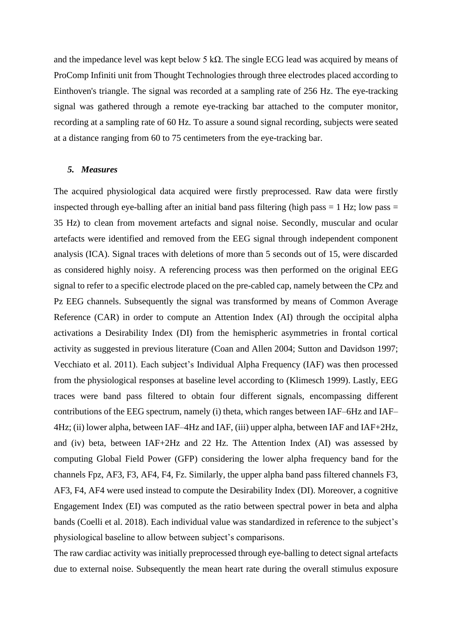and the impedance level was kept below 5 kΩ. The single ECG lead was acquired by means of ProComp Infiniti unit from Thought Technologies through three electrodes placed according to Einthoven's triangle. The signal was recorded at a sampling rate of 256 Hz. The eye-tracking signal was gathered through a remote eye-tracking bar attached to the computer monitor, recording at a sampling rate of 60 Hz. To assure a sound signal recording, subjects were seated at a distance ranging from 60 to 75 centimeters from the eye-tracking bar.

#### *5. Measures*

The acquired physiological data acquired were firstly preprocessed. Raw data were firstly inspected through eye-balling after an initial band pass filtering (high pass  $= 1$  Hz; low pass  $=$ 35 Hz) to clean from movement artefacts and signal noise. Secondly, muscular and ocular artefacts were identified and removed from the EEG signal through independent component analysis (ICA). Signal traces with deletions of more than 5 seconds out of 15, were discarded as considered highly noisy. A referencing process was then performed on the original EEG signal to refer to a specific electrode placed on the pre-cabled cap, namely between the CPz and Pz EEG channels. Subsequently the signal was transformed by means of Common Average Reference (CAR) in order to compute an Attention Index (AI) through the occipital alpha activations a Desirability Index (DI) from the hemispheric asymmetries in frontal cortical activity as suggested in previous literature (Coan and Allen 2004; Sutton and Davidson 1997; Vecchiato et al. 2011). Each subject's Individual Alpha Frequency (IAF) was then processed from the physiological responses at baseline level according to (Klimesch 1999). Lastly, EEG traces were band pass filtered to obtain four different signals, encompassing different contributions of the EEG spectrum, namely (i) theta, which ranges between IAF–6Hz and IAF– 4Hz; (ii) lower alpha, between IAF–4Hz and IAF, (iii) upper alpha, between IAF and IAF+2Hz, and (iv) beta, between IAF+2Hz and 22 Hz. The Attention Index (AI) was assessed by computing Global Field Power (GFP) considering the lower alpha frequency band for the channels Fpz, AF3, F3, AF4, F4, Fz. Similarly, the upper alpha band pass filtered channels F3, AF3, F4, AF4 were used instead to compute the Desirability Index (DI). Moreover, a cognitive Engagement Index (EI) was computed as the ratio between spectral power in beta and alpha bands (Coelli et al. 2018). Each individual value was standardized in reference to the subject's physiological baseline to allow between subject's comparisons.

The raw cardiac activity was initially preprocessed through eye-balling to detect signal artefacts due to external noise. Subsequently the mean heart rate during the overall stimulus exposure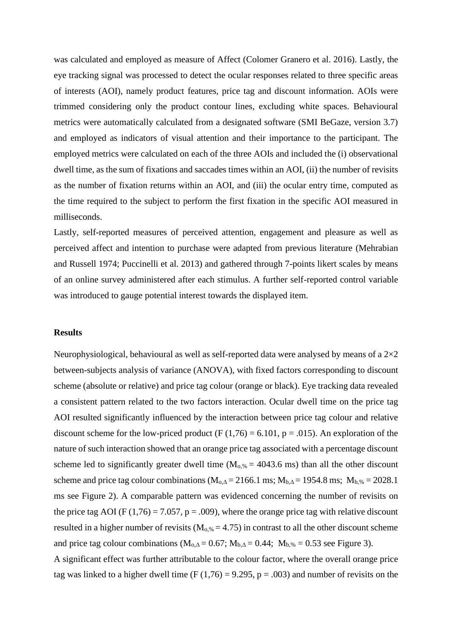was calculated and employed as measure of Affect (Colomer Granero et al. 2016). Lastly, the eye tracking signal was processed to detect the ocular responses related to three specific areas of interests (AOI), namely product features, price tag and discount information. AOIs were trimmed considering only the product contour lines, excluding white spaces. Behavioural metrics were automatically calculated from a designated software (SMI BeGaze, version 3.7) and employed as indicators of visual attention and their importance to the participant. The employed metrics were calculated on each of the three AOIs and included the (i) observational dwell time, as the sum of fixations and saccades times within an AOI, (ii) the number of revisits as the number of fixation returns within an AOI, and (iii) the ocular entry time, computed as the time required to the subject to perform the first fixation in the specific AOI measured in milliseconds.

Lastly, self-reported measures of perceived attention, engagement and pleasure as well as perceived affect and intention to purchase were adapted from previous literature (Mehrabian and Russell 1974; Puccinelli et al. 2013) and gathered through 7-points likert scales by means of an online survey administered after each stimulus. A further self-reported control variable was introduced to gauge potential interest towards the displayed item.

#### **Results**

Neurophysiological, behavioural as well as self-reported data were analysed by means of a  $2\times2$ between-subjects analysis of variance (ANOVA), with fixed factors corresponding to discount scheme (absolute or relative) and price tag colour (orange or black). Eye tracking data revealed a consistent pattern related to the two factors interaction. Ocular dwell time on the price tag AOI resulted significantly influenced by the interaction between price tag colour and relative discount scheme for the low-priced product (F  $(1,76) = 6.101$ , p = .015). An exploration of the nature of such interaction showed that an orange price tag associated with a percentage discount scheme led to significantly greater dwell time ( $M<sub>o, %</sub> = 4043.6$  ms) than all the other discount scheme and price tag colour combinations ( $M_{o, \Delta} = 2166.1$  ms;  $M_{b, \Delta} = 1954.8$  ms;  $M_{b, \%} = 2028.1$ ms see Figure 2). A comparable pattern was evidenced concerning the number of revisits on the price tag AOI (F (1,76) = 7.057, p = .009), where the orange price tag with relative discount resulted in a higher number of revisits  $(M<sub>0.%</sub> = 4.75)$  in contrast to all the other discount scheme and price tag colour combinations ( $M_{o, \Delta} = 0.67$ ;  $M_{b, \Delta} = 0.44$ ;  $M_{b, %} = 0.53$  see Figure 3).

A significant effect was further attributable to the colour factor, where the overall orange price tag was linked to a higher dwell time (F  $(1,76) = 9.295$ , p = .003) and number of revisits on the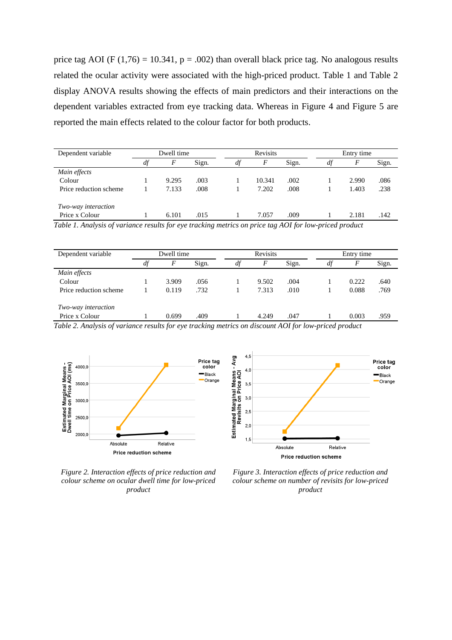price tag AOI (F (1,76) = 10.341,  $p = .002$ ) than overall black price tag. No analogous results related the ocular activity were associated with the high-priced product. Table 1 and Table 2 display ANOVA results showing the effects of main predictors and their interactions on the dependent variables extracted from eye tracking data. Whereas in Figure 4 and Figure 5 are reported the main effects related to the colour factor for both products.

| Dependent variable     | Dwell time |       |       | <b>Revisits</b> |        |       | Entry time |       |       |
|------------------------|------------|-------|-------|-----------------|--------|-------|------------|-------|-------|
|                        | df         | F     | Sign. | df              | F      | Sign. | dt         | F     | Sign. |
| Main effects           |            |       |       |                 |        |       |            |       |       |
| Colour                 |            | 9.295 | .003  |                 | 10.341 | .002  |            | 2.990 | .086  |
| Price reduction scheme |            | 7.133 | .008  |                 | 7.202  | .008  |            | 1.403 | .238  |
| Two-way interaction    |            |       |       |                 |        |       |            |       |       |
| Price x Colour         |            | 6.101 | .015  |                 | 7.057  | .009  |            | 2.181 | .142  |

*Table 1. Analysis of variance results for eye tracking metrics on price tag AOI for low-priced product*

| Dependent variable     |    | Dwell time |       | Revisits |       |       | Entry time |       |       |  |
|------------------------|----|------------|-------|----------|-------|-------|------------|-------|-------|--|
|                        | df | F          | Sign. | df       |       | Sign. | df         | F     | Sign. |  |
| Main effects           |    |            |       |          |       |       |            |       |       |  |
| Colour                 |    | 3.909      | .056  |          | 9.502 | .004  |            | 0.222 | .640  |  |
| Price reduction scheme |    | 0.119      | .732  |          | 7.313 | .010  |            | 0.088 | .769  |  |
| Two-way interaction    |    |            |       |          |       |       |            |       |       |  |
| Price x Colour         |    | 0.699      | .409  |          | 4.249 | .047  |            | 0.003 | .959  |  |

*Table 2. Analysis of variance results for eye tracking metrics on discount AOI for low-priced product*





*Figure 2. Interaction effects of price reduction and colour scheme on ocular dwell time for low-priced product*

*Figure 3. Interaction effects of price reduction and colour scheme on number of revisits for low-priced product*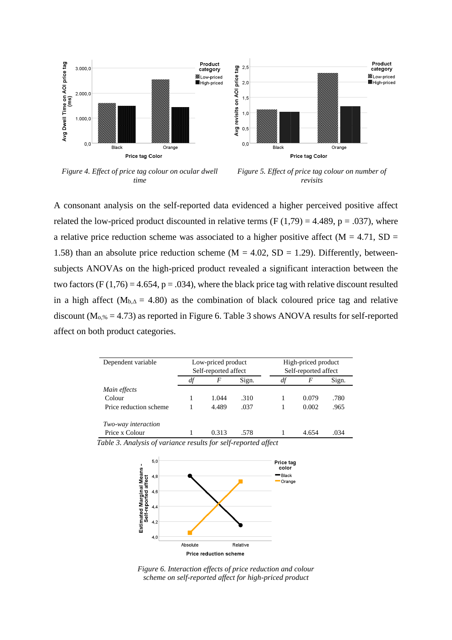



*Figure 4. Effect of price tag colour on ocular dwell time*

*Figure 5. Effect of price tag colour on number of revisits*

A consonant analysis on the self-reported data evidenced a higher perceived positive affect related the low-priced product discounted in relative terms  $(F(1,79) = 4.489, p = .037)$ , where a relative price reduction scheme was associated to a higher positive affect ( $M = 4.71$ , SD = 1.58) than an absolute price reduction scheme ( $M = 4.02$ ,  $SD = 1.29$ ). Differently, betweensubjects ANOVAs on the high-priced product revealed a significant interaction between the two factors (F  $(1,76) = 4.654$ , p = .034), where the black price tag with relative discount resulted in a high affect ( $M_{b,\Delta} = 4.80$ ) as the combination of black coloured price tag and relative discount ( $M<sub>0.%</sub> = 4.73$ ) as reported in Figure 6. Table 3 shows ANOVA results for self-reported affect on both product categories.

| Dependent variable     | Low-priced product   |       | High-priced product |                      |       |       |  |
|------------------------|----------------------|-------|---------------------|----------------------|-------|-------|--|
|                        | Self-reported affect |       |                     | Self-reported affect |       |       |  |
|                        | df                   | F     | Sign.               | df                   | F     | Sign. |  |
| Main effects           |                      |       |                     |                      |       |       |  |
| Colour                 |                      | 1.044 | .310                |                      | 0.079 | .780  |  |
| Price reduction scheme |                      | 4.489 | .037                |                      | 0.002 | .965  |  |
| Two-way interaction    |                      |       |                     |                      |       |       |  |
| Price x Colour         |                      | 0.313 | .578                |                      | 4.654 | .034  |  |

*Table 3. Analysis of variance results for self-reported affect*



*Figure 6. Interaction effects of price reduction and colour scheme on self-reported affect for high-priced product*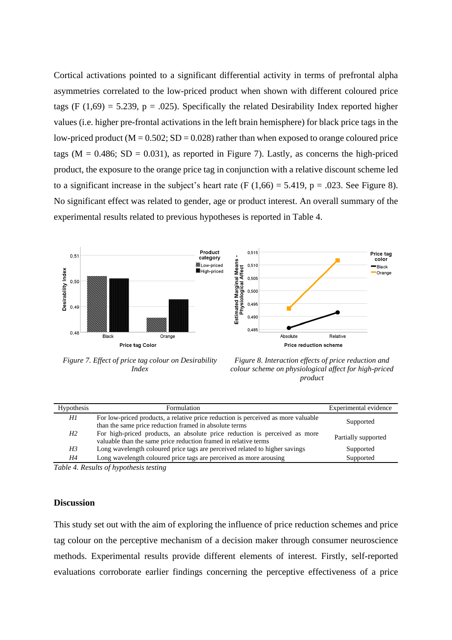Cortical activations pointed to a significant differential activity in terms of prefrontal alpha asymmetries correlated to the low-priced product when shown with different coloured price tags (F  $(1,69) = 5.239$ , p = .025). Specifically the related Desirability Index reported higher values (i.e. higher pre-frontal activations in the left brain hemisphere) for black price tags in the low-priced product ( $M = 0.502$ ;  $SD = 0.028$ ) rather than when exposed to orange coloured price tags ( $M = 0.486$ ; SD = 0.031), as reported in Figure 7). Lastly, as concerns the high-priced product, the exposure to the orange price tag in conjunction with a relative discount scheme led to a significant increase in the subject's heart rate (F  $(1,66) = 5.419$ , p = .023. See Figure 8). No significant effect was related to gender, age or product interest. An overall summary of the experimental results related to previous hypotheses is reported in Table 4.





*Figure 7. Effect of price tag colour on Desirability Index*

*Figure 8. Interaction effects of price reduction and colour scheme on physiological affect for high-priced product*

| <b>Hypothesis</b> | Formulation                                                                                                                                   | Experimental evidence |
|-------------------|-----------------------------------------------------------------------------------------------------------------------------------------------|-----------------------|
| Hl                | For low-priced products, a relative price reduction is perceived as more valuable<br>than the same price reduction framed in absolute terms   | Supported             |
| H2                | For high-priced products, an absolute price reduction is perceived as more<br>valuable than the same price reduction framed in relative terms | Partially supported   |
| H3                | Long wavelength coloured price tags are perceived related to higher savings                                                                   | Supported             |
| Η4                | Long wavelength coloured price tags are perceived as more arousing                                                                            | Supported             |
|                   |                                                                                                                                               |                       |

*Table 4. Results of hypothesis testing*

#### **Discussion**

This study set out with the aim of exploring the influence of price reduction schemes and price tag colour on the perceptive mechanism of a decision maker through consumer neuroscience methods. Experimental results provide different elements of interest. Firstly, self-reported evaluations corroborate earlier findings concerning the perceptive effectiveness of a price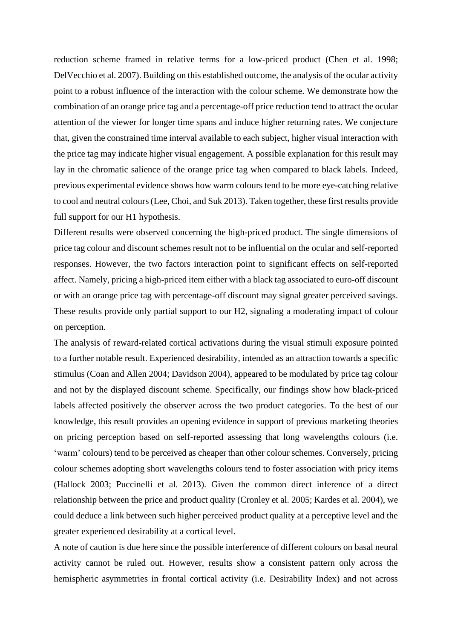reduction scheme framed in relative terms for a low-priced product (Chen et al. 1998; DelVecchio et al. 2007). Building on this established outcome, the analysis of the ocular activity point to a robust influence of the interaction with the colour scheme. We demonstrate how the combination of an orange price tag and a percentage-off price reduction tend to attract the ocular attention of the viewer for longer time spans and induce higher returning rates. We conjecture that, given the constrained time interval available to each subject, higher visual interaction with the price tag may indicate higher visual engagement. A possible explanation for this result may lay in the chromatic salience of the orange price tag when compared to black labels. Indeed, previous experimental evidence shows how warm colours tend to be more eye-catching relative to cool and neutral colours(Lee, Choi, and Suk 2013). Taken together, these first results provide full support for our H1 hypothesis.

Different results were observed concerning the high-priced product. The single dimensions of price tag colour and discount schemes result not to be influential on the ocular and self-reported responses. However, the two factors interaction point to significant effects on self-reported affect. Namely, pricing a high-priced item either with a black tag associated to euro-off discount or with an orange price tag with percentage-off discount may signal greater perceived savings. These results provide only partial support to our H2, signaling a moderating impact of colour on perception.

The analysis of reward-related cortical activations during the visual stimuli exposure pointed to a further notable result. Experienced desirability, intended as an attraction towards a specific stimulus (Coan and Allen 2004; Davidson 2004), appeared to be modulated by price tag colour and not by the displayed discount scheme. Specifically, our findings show how black-priced labels affected positively the observer across the two product categories. To the best of our knowledge, this result provides an opening evidence in support of previous marketing theories on pricing perception based on self-reported assessing that long wavelengths colours (i.e. 'warm' colours) tend to be perceived as cheaper than other colour schemes. Conversely, pricing colour schemes adopting short wavelengths colours tend to foster association with pricy items (Hallock 2003; Puccinelli et al. 2013). Given the common direct inference of a direct relationship between the price and product quality (Cronley et al. 2005; Kardes et al. 2004), we could deduce a link between such higher perceived product quality at a perceptive level and the greater experienced desirability at a cortical level.

A note of caution is due here since the possible interference of different colours on basal neural activity cannot be ruled out. However, results show a consistent pattern only across the hemispheric asymmetries in frontal cortical activity (i.e. Desirability Index) and not across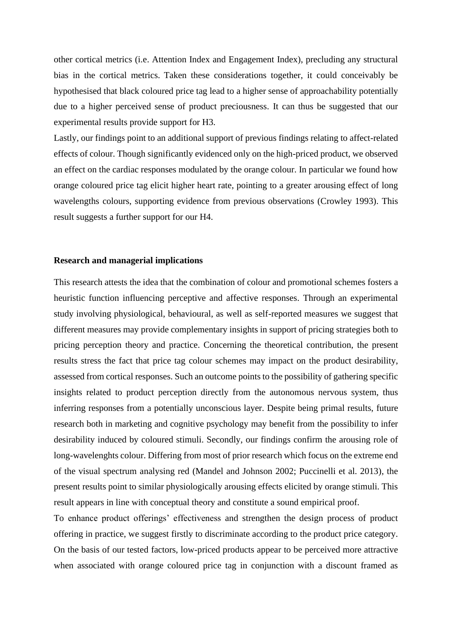other cortical metrics (i.e. Attention Index and Engagement Index), precluding any structural bias in the cortical metrics. Taken these considerations together, it could conceivably be hypothesised that black coloured price tag lead to a higher sense of approachability potentially due to a higher perceived sense of product preciousness. It can thus be suggested that our experimental results provide support for H3.

Lastly, our findings point to an additional support of previous findings relating to affect-related effects of colour. Though significantly evidenced only on the high-priced product, we observed an effect on the cardiac responses modulated by the orange colour. In particular we found how orange coloured price tag elicit higher heart rate, pointing to a greater arousing effect of long wavelengths colours, supporting evidence from previous observations (Crowley 1993). This result suggests a further support for our H4.

#### **Research and managerial implications**

This research attests the idea that the combination of colour and promotional schemes fosters a heuristic function influencing perceptive and affective responses. Through an experimental study involving physiological, behavioural, as well as self-reported measures we suggest that different measures may provide complementary insights in support of pricing strategies both to pricing perception theory and practice. Concerning the theoretical contribution, the present results stress the fact that price tag colour schemes may impact on the product desirability, assessed from cortical responses. Such an outcome points to the possibility of gathering specific insights related to product perception directly from the autonomous nervous system, thus inferring responses from a potentially unconscious layer. Despite being primal results, future research both in marketing and cognitive psychology may benefit from the possibility to infer desirability induced by coloured stimuli. Secondly, our findings confirm the arousing role of long-wavelenghts colour. Differing from most of prior research which focus on the extreme end of the visual spectrum analysing red (Mandel and Johnson 2002; Puccinelli et al. 2013), the present results point to similar physiologically arousing effects elicited by orange stimuli. This result appears in line with conceptual theory and constitute a sound empirical proof.

To enhance product offerings' effectiveness and strengthen the design process of product offering in practice, we suggest firstly to discriminate according to the product price category. On the basis of our tested factors, low-priced products appear to be perceived more attractive when associated with orange coloured price tag in conjunction with a discount framed as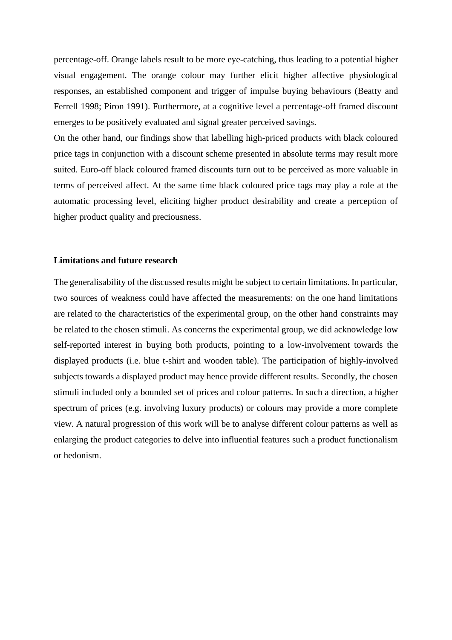percentage-off. Orange labels result to be more eye-catching, thus leading to a potential higher visual engagement. The orange colour may further elicit higher affective physiological responses, an established component and trigger of impulse buying behaviours (Beatty and Ferrell 1998; Piron 1991). Furthermore, at a cognitive level a percentage-off framed discount emerges to be positively evaluated and signal greater perceived savings.

On the other hand, our findings show that labelling high-priced products with black coloured price tags in conjunction with a discount scheme presented in absolute terms may result more suited. Euro-off black coloured framed discounts turn out to be perceived as more valuable in terms of perceived affect. At the same time black coloured price tags may play a role at the automatic processing level, eliciting higher product desirability and create a perception of higher product quality and preciousness.

#### **Limitations and future research**

The generalisability of the discussed results might be subject to certain limitations. In particular, two sources of weakness could have affected the measurements: on the one hand limitations are related to the characteristics of the experimental group, on the other hand constraints may be related to the chosen stimuli. As concerns the experimental group, we did acknowledge low self-reported interest in buying both products, pointing to a low-involvement towards the displayed products (i.e. blue t-shirt and wooden table). The participation of highly-involved subjects towards a displayed product may hence provide different results. Secondly, the chosen stimuli included only a bounded set of prices and colour patterns. In such a direction, a higher spectrum of prices (e.g. involving luxury products) or colours may provide a more complete view. A natural progression of this work will be to analyse different colour patterns as well as enlarging the product categories to delve into influential features such a product functionalism or hedonism.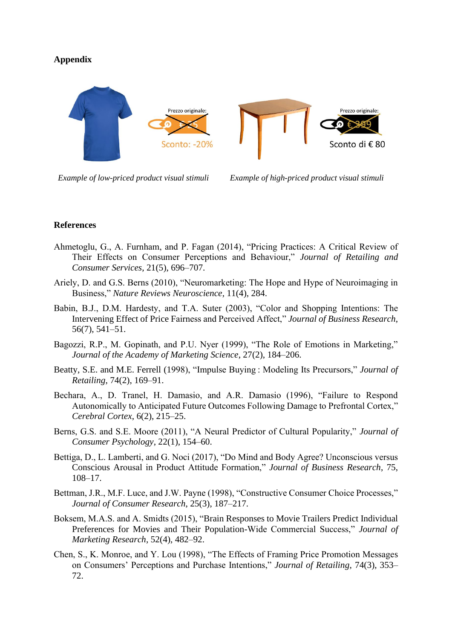# **Appendix**



*Example of low-priced product visual stimuli Example of high-priced product visual stimuli* 

### **References**

- Ahmetoglu, G., A. Furnham, and P. Fagan (2014), "Pricing Practices: A Critical Review of Their Effects on Consumer Perceptions and Behaviour," *Journal of Retailing and Consumer Services*, 21(5), 696–707.
- Ariely, D. and G.S. Berns (2010), "Neuromarketing: The Hope and Hype of Neuroimaging in Business," *Nature Reviews Neuroscience*, 11(4), 284.
- Babin, B.J., D.M. Hardesty, and T.A. Suter (2003), "Color and Shopping Intentions: The Intervening Effect of Price Fairness and Perceived Affect," *Journal of Business Research*, 56(7), 541–51.
- Bagozzi, R.P., M. Gopinath, and P.U. Nyer (1999), "The Role of Emotions in Marketing," *Journal of the Academy of Marketing Science*, 27(2), 184–206.
- Beatty, S.E. and M.E. Ferrell (1998), "Impulse Buying : Modeling Its Precursors," *Journal of Retailing*, 74(2), 169–91.
- Bechara, A., D. Tranel, H. Damasio, and A.R. Damasio (1996), "Failure to Respond Autonomically to Anticipated Future Outcomes Following Damage to Prefrontal Cortex," *Cerebral Cortex*, 6(2), 215–25.
- Berns, G.S. and S.E. Moore (2011), "A Neural Predictor of Cultural Popularity," *Journal of Consumer Psychology*, 22(1), 154–60.
- Bettiga, D., L. Lamberti, and G. Noci (2017), "Do Mind and Body Agree? Unconscious versus Conscious Arousal in Product Attitude Formation," *Journal of Business Research*, 75, 108–17.
- Bettman, J.R., M.F. Luce, and J.W. Payne (1998), "Constructive Consumer Choice Processes," *Journal of Consumer Research*, 25(3), 187–217.
- Boksem, M.A.S. and A. Smidts (2015), "Brain Responses to Movie Trailers Predict Individual Preferences for Movies and Their Population-Wide Commercial Success," *Journal of Marketing Research*, 52(4), 482–92.
- Chen, S., K. Monroe, and Y. Lou (1998), "The Effects of Framing Price Promotion Messages on Consumers' Perceptions and Purchase Intentions," *Journal of Retailing*, 74(3), 353– 72.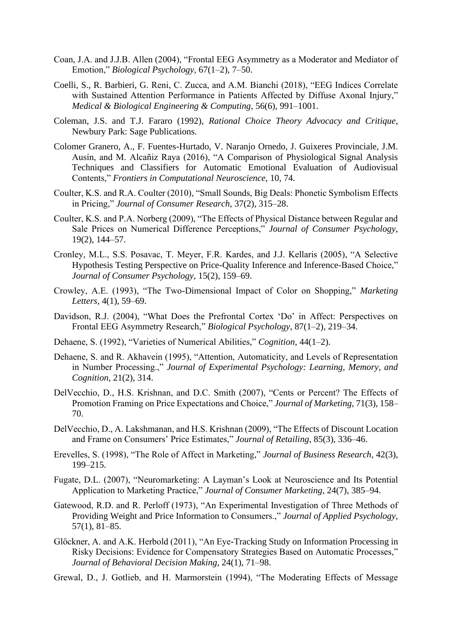- Coan, J.A. and J.J.B. Allen (2004), "Frontal EEG Asymmetry as a Moderator and Mediator of Emotion," *Biological Psychology*, 67(1–2), 7–50.
- Coelli, S., R. Barbieri, G. Reni, C. Zucca, and A.M. Bianchi (2018), "EEG Indices Correlate with Sustained Attention Performance in Patients Affected by Diffuse Axonal Injury," *Medical & Biological Engineering & Computing*, 56(6), 991–1001.
- Coleman, J.S. and T.J. Fararo (1992), *Rational Choice Theory Advocacy and Critique*, Newbury Park: Sage Publications.
- Colomer Granero, A., F. Fuentes-Hurtado, V. Naranjo Ornedo, J. Guixeres Provinciale, J.M. Ausín, and M. Alcañiz Raya (2016), "A Comparison of Physiological Signal Analysis Techniques and Classifiers for Automatic Emotional Evaluation of Audiovisual Contents," *Frontiers in Computational Neuroscience*, 10, 74.
- Coulter, K.S. and R.A. Coulter (2010), "Small Sounds, Big Deals: Phonetic Symbolism Effects in Pricing," *Journal of Consumer Research*, 37(2), 315–28.
- Coulter, K.S. and P.A. Norberg (2009), "The Effects of Physical Distance between Regular and Sale Prices on Numerical Difference Perceptions," *Journal of Consumer Psychology*, 19(2), 144–57.
- Cronley, M.L., S.S. Posavac, T. Meyer, F.R. Kardes, and J.J. Kellaris (2005), "A Selective Hypothesis Testing Perspective on Price-Quality Inference and Inference-Based Choice," *Journal of Consumer Psychology*, 15(2), 159–69.
- Crowley, A.E. (1993), "The Two-Dimensional Impact of Color on Shopping," *Marketing Letters*, 4(1), 59–69.
- Davidson, R.J. (2004), "What Does the Prefrontal Cortex 'Do' in Affect: Perspectives on Frontal EEG Asymmetry Research," *Biological Psychology*, 87(1–2), 219–34.
- Dehaene, S. (1992), "Varieties of Numerical Abilities," *Cognition*, 44(1–2).
- Dehaene, S. and R. Akhavein (1995), "Attention, Automaticity, and Levels of Representation in Number Processing.," *Journal of Experimental Psychology: Learning, Memory, and Cognition*, 21(2), 314.
- DelVecchio, D., H.S. Krishnan, and D.C. Smith (2007), "Cents or Percent? The Effects of Promotion Framing on Price Expectations and Choice," *Journal of Marketing*, 71(3), 158– 70.
- DelVecchio, D., A. Lakshmanan, and H.S. Krishnan (2009), "The Effects of Discount Location and Frame on Consumers' Price Estimates," *Journal of Retailing*, 85(3), 336–46.
- Erevelles, S. (1998), "The Role of Affect in Marketing," *Journal of Business Research*, 42(3), 199–215.
- Fugate, D.L. (2007), "Neuromarketing: A Layman's Look at Neuroscience and Its Potential Application to Marketing Practice," *Journal of Consumer Marketing*, 24(7), 385–94.
- Gatewood, R.D. and R. Perloff (1973), "An Experimental Investigation of Three Methods of Providing Weight and Price Information to Consumers.," *Journal of Applied Psychology*, 57(1), 81–85.
- Glöckner, A. and A.K. Herbold (2011), "An Eye-Tracking Study on Information Processing in Risky Decisions: Evidence for Compensatory Strategies Based on Automatic Processes," *Journal of Behavioral Decision Making*, 24(1), 71–98.
- Grewal, D., J. Gotlieb, and H. Marmorstein (1994), "The Moderating Effects of Message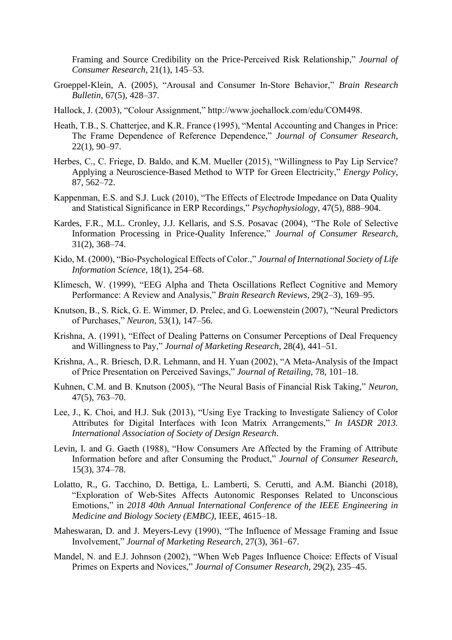Framing and Source Credibility on the Price-Perceived Risk Relationship," *Journal of Consumer Research*, 21(1), 145–53.

- Groeppel-Klein, A. (2005), "Arousal and Consumer In-Store Behavior," *Brain Research Bulletin*, 67(5), 428–37.
- Hallock, J. (2003), "Colour Assignment," http://www.joehallock.com/edu/COM498.
- Heath, T.B., S. Chatterjee, and K.R. France (1995), "Mental Accounting and Changes in Price: The Frame Dependence of Reference Dependence," *Journal of Consumer Research*, 22(1), 90–97.
- Herbes, C., C. Friege, D. Baldo, and K.M. Mueller (2015), "Willingness to Pay Lip Service? Applying a Neuroscience-Based Method to WTP for Green Electricity," *Energy Policy*, 87, 562–72.
- Kappenman, E.S. and S.J. Luck (2010), "The Effects of Electrode Impedance on Data Quality and Statistical Significance in ERP Recordings," *Psychophysiology*, 47(5), 888–904.
- Kardes, F.R., M.L. Cronley, J.J. Kellaris, and S.S. Posavac (2004), "The Role of Selective Information Processing in Price-Quality Inference," *Journal of Consumer Research*, 31(2), 368–74.
- Kido, M. (2000), "Bio-Psychological Effects of Color.," *Journal of International Society of Life Information Science*, 18(1), 254–68.
- Klimesch, W. (1999), "EEG Alpha and Theta Oscillations Reflect Cognitive and Memory Performance: A Review and Analysis," *Brain Research Reviews*, 29(2–3), 169–95.
- Knutson, B., S. Rick, G. E. Wimmer, D. Prelec, and G. Loewenstein (2007), "Neural Predictors of Purchases," *Neuron*, 53(1), 147–56.
- Krishna, A. (1991), "Effect of Dealing Patterns on Consumer Perceptions of Deal Frequency and Willingness to Pay," *Journal of Marketing Research*, 28(4), 441–51.
- Krishna, A., R. Briesch, D.R. Lehmann, and H. Yuan (2002), "A Meta-Analysis of the Impact of Price Presentation on Perceived Savings," *Journal of Retailing*, 78, 101–18.
- Kuhnen, C.M. and B. Knutson (2005), "The Neural Basis of Financial Risk Taking," *Neuron*, 47(5), 763–70.
- Lee, J., K. Choi, and H.J. Suk (2013), "Using Eye Tracking to Investigate Saliency of Color Attributes for Digital Interfaces with Icon Matrix Arrangements," *In IASDR 2013. International Association of Society of Design Research*.
- Levin, I. and G. Gaeth (1988), "How Consumers Are Affected by the Framing of Attribute Information before and after Consuming the Product," *Journal of Consumer Research*, 15(3), 374–78.
- Lolatto, R., G. Tacchino, D. Bettiga, L. Lamberti, S. Cerutti, and A.M. Bianchi (2018), "Exploration of Web-Sites Affects Autonomic Responses Related to Unconscious Emotions," in *2018 40th Annual International Conference of the IEEE Engineering in Medicine and Biology Society (EMBC)*, IEEE, 4615–18.
- Maheswaran, D. and J. Meyers-Levy (1990), "The Influence of Message Framing and Issue Involvement," *Journal of Marketing Research*, 27(3), 361–67.
- Mandel, N. and E.J. Johnson (2002), "When Web Pages Influence Choice: Effects of Visual Primes on Experts and Novices," *Journal of Consumer Research*, 29(2), 235–45.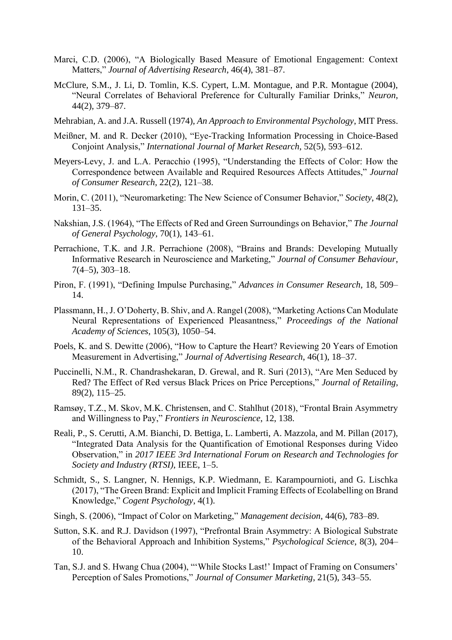- Marci, C.D. (2006), "A Biologically Based Measure of Emotional Engagement: Context Matters," *Journal of Advertising Research*, 46(4), 381–87.
- McClure, S.M., J. Li, D. Tomlin, K.S. Cypert, L.M. Montague, and P.R. Montague (2004), "Neural Correlates of Behavioral Preference for Culturally Familiar Drinks," *Neuron*, 44(2), 379–87.
- Mehrabian, A. and J.A. Russell (1974), *An Approach to Environmental Psychology*, MIT Press.
- Meißner, M. and R. Decker (2010), "Eye-Tracking Information Processing in Choice-Based Conjoint Analysis," *International Journal of Market Research*, 52(5), 593–612.
- Meyers-Levy, J. and L.A. Peracchio (1995), "Understanding the Effects of Color: How the Correspondence between Available and Required Resources Affects Attitudes," *Journal of Consumer Research*, 22(2), 121–38.
- Morin, C. (2011), "Neuromarketing: The New Science of Consumer Behavior," *Society*, 48(2), 131–35.
- Nakshian, J.S. (1964), "The Effects of Red and Green Surroundings on Behavior," *The Journal of General Psychology*, 70(1), 143–61.
- Perrachione, T.K. and J.R. Perrachione (2008), "Brains and Brands: Developing Mutually Informative Research in Neuroscience and Marketing," *Journal of Consumer Behaviour*, 7(4–5), 303–18.
- Piron, F. (1991), "Defining Impulse Purchasing," *Advances in Consumer Research*, 18, 509– 14.
- Plassmann, H., J. O'Doherty, B. Shiv, and A. Rangel (2008), "Marketing Actions Can Modulate Neural Representations of Experienced Pleasantness," *Proceedings of the National Academy of Sciences*, 105(3), 1050–54.
- Poels, K. and S. Dewitte (2006), "How to Capture the Heart? Reviewing 20 Years of Emotion Measurement in Advertising," *Journal of Advertising Research*, 46(1), 18–37.
- Puccinelli, N.M., R. Chandrashekaran, D. Grewal, and R. Suri (2013), "Are Men Seduced by Red? The Effect of Red versus Black Prices on Price Perceptions," *Journal of Retailing*, 89(2), 115–25.
- Ramsøy, T.Z., M. Skov, M.K. Christensen, and C. Stahlhut (2018), "Frontal Brain Asymmetry and Willingness to Pay," *Frontiers in Neuroscience*, 12, 138.
- Reali, P., S. Cerutti, A.M. Bianchi, D. Bettiga, L. Lamberti, A. Mazzola, and M. Pillan (2017), "Integrated Data Analysis for the Quantification of Emotional Responses during Video Observation," in *2017 IEEE 3rd International Forum on Research and Technologies for Society and Industry (RTSI)*, IEEE, 1–5.
- Schmidt, S., S. Langner, N. Hennigs, K.P. Wiedmann, E. Karampournioti, and G. Lischka (2017), "The Green Brand: Explicit and Implicit Framing Effects of Ecolabelling on Brand Knowledge," *Cogent Psychology*, 4(1).
- Singh, S. (2006), "Impact of Color on Marketing," *Management decision*, 44(6), 783–89.
- Sutton, S.K. and R.J. Davidson (1997), "Prefrontal Brain Asymmetry: A Biological Substrate of the Behavioral Approach and Inhibition Systems," *Psychological Science*, 8(3), 204– 10.
- Tan, S.J. and S. Hwang Chua (2004), "'While Stocks Last!' Impact of Framing on Consumers' Perception of Sales Promotions," *Journal of Consumer Marketing*, 21(5), 343–55.